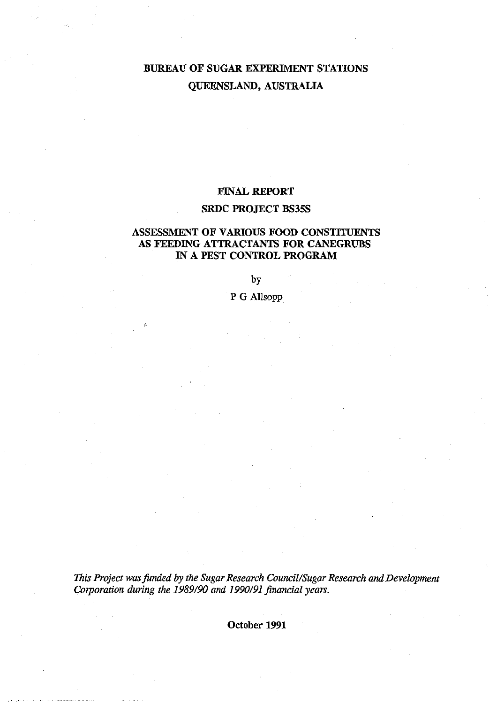# **BUREAU OF SUGAR EXPERIMENT STATIONS QUEENSLAND, AUSTRALIA**

# **FINAL REPORT**

# **SRDC PROJECT BS35S**

# **ASSESSMENT OF VARIOUS FOOD CONSTITUENTS AS FEEDING ATTRACTANTS FOR CANEGRUBS IN A PEST CONTROL PROGRAM**

by

P G Allsopp

*This Project was funded by the Sugar Research Council/Sugar Research and Development Corporation during the 1989/90 and 1990/91 financial years.* 

**October 1991**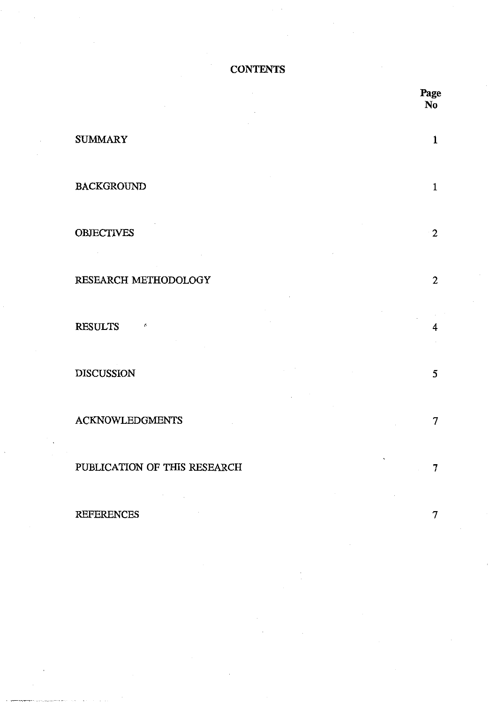**CONTENTS** 

|                                                                                                                            |                                 | Page<br>No   |
|----------------------------------------------------------------------------------------------------------------------------|---------------------------------|--------------|
| <b>SUMMARY</b>                                                                                                             |                                 | $\mathbf{1}$ |
| <b>BACKGROUND</b>                                                                                                          |                                 | 1            |
| <b>OBJECTIVES</b>                                                                                                          |                                 | 2            |
| RESEARCH METHODOLOGY                                                                                                       |                                 | $\mathbf{2}$ |
| <b>RESULTS</b><br>r.                                                                                                       |                                 | 4            |
| <b>DISCUSSION</b>                                                                                                          |                                 | 5            |
| <b>ACKNOWLEDGMENTS</b>                                                                                                     |                                 | 7            |
| PUBLICATION OF THIS RESEARCH<br>$\mathcal{L}(\mathcal{L})$ and $\mathcal{L}(\mathcal{L})$ .<br>and the company of the com- | $\sim 10^{11}$<br>$\sim$ $\sim$ | 7            |
| <b>REFERENCES</b><br>$\sim 100$                                                                                            |                                 | 7            |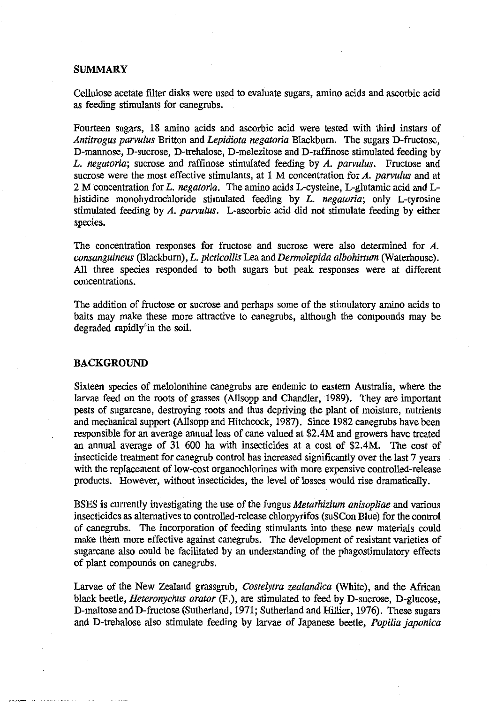## **SUMMARY**

Cellulose acetate filter disks were used to evaluate sugars, amino acids and ascorbic acid as feeding stimulants for canegrubs.

Fourteen sugars, 18 amino acids and ascorbic acid were tested with third instars of *Antitrogus parvulus* Britton and *Lepidiota negatoria* Blackburn. The sugars D-fructose, D-mannose, D-sucrose, D-trehalose, D-melezitose and D-raffinose stimulated feeding by *L. negatoria;* sucrose and raffinose stimulated feeding by *A. parvulus.* Fructose and sucrose were the most effective stimulants, at 1 M concentration for *A. parvulus* and at 2 M concentration for *L. negatoria.* The amino acids L-cysteine, L-glutamic acid and Lhistidine monohydrochloride stimulated feeding by *L. negatoria;* only L-tyrosine stimulated feeding by *A. parvulus.* L-ascorbic acid did not stimulate feeding by either species.

The concentration responses for fructose and sucrose were also determined for *A. consanguineus* (Blackburn), *L. picticollis* Lea and *Dermolepida albohirtum* (Waterhouse). All three species responded to both sugars but peak responses were at different concentrations.

The addition of fructose or sucrose and perhaps some of the stimulatory amino acids to baits may make these more attractive to canegrubs, although the compounds may be degraded rapidly in the soil.

## **BACKGROUND**

Sixteen species of melolonthine canegrubs are endemic to eastern Australia, where the larvae feed on the roots of grasses (Allsopp and Chandler, 1989). They are important pests of sugarcane, destroying roots and thus depriving the plant of moisture, nutrients and mechanical support (Allsopp and Hitchcock, 1987). Since 1982 canegrubs have been responsible for an average annual loss of cane valued at \$2.4M and growers have treated an annual average of 31 600 ha with insecticides at a cost of \$2.4M. The cost of insecticide treatment for canegrub control has increased significantly over the last 7 years with the replacement of low-cost organochlorines with more expensive controlled-release products. However, without insecticides, the level of losses would rise dramatically.

BSES is currently investigating the use of the fungus *Metarhizium anisopliae* and various insecticides as alternatives to controlled-release chlorpyrifos (suSCon Blue) for the control of canegrubs. The incorporation of feeding stimulants into these new materials could make them more effective against canegrubs. The development of resistant varieties of sugarcane also could be facilitated by an understanding of the phagostimulatory effects of plant compounds on canegrubs.

Larvae of the New Zealand grassgrub, *Costelytra zealandica* (White), and the African black beetle, *Heteronychus arator* (F.), are stimulated to feed by D-sucrose, D-glucose, D-maltose and D-fructose (Sutherland, 1971; Sutherland and Hillier, 1976). These sugars and D-trehalose also stimulate feeding by larvae of Japanese beetle, *Popilla japonica*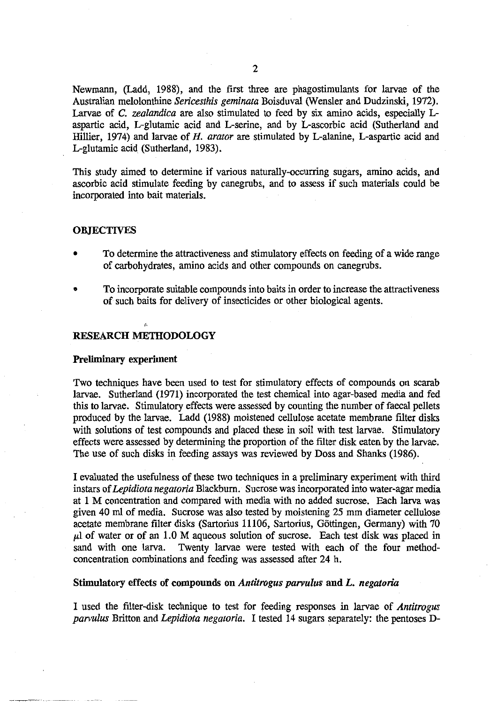Newmann, (Ladd, 1988), and the first three are phagostimulants for larvae of the Australian melolonthine *Sericesthis geminata* Boisduval (Wensler and Dudzinski, 1972). Larvae of *C. zealandica* are also stimulated to feed by six amino acids, especially Laspartic acid, L-glutarnic acid and L-serine, and by L-ascorbic acid (Sutherland and Hillier, 1974) and larvae of *H. arator* are stimulated by L-alanine, L-aspartic acid and L-glutamic acid (Sutherland, 1983).

This study aimed to determine if various naturally-occurring sugars, amino acids, and ascorbic acid stimulate feeding by canegrubs, and to assess if such materials could be incorporated into bait materials.

### **OBJECTIVES**

- To determine the attractiveness and stimulatory effects on feeding of a wide range of carbohydrates, amino acids and other compounds on canegrubs.
- To incorporate suitable compounds into baits in order to increase the attractiveness of such baits for delivery of insecticides or other biological agents.

## **RESEARCH METHODOLOGY**

#### **Preliminary experiment**

Two techniques have been used to test for stimulatory effects of compounds on scarab larvae. Sutherland (1971) incorporated the test chemical into agar-based media and fed this to larvae. Stimulatory effects were assessed by counting the number of faecal pellets produced by the larvae. Ladd (1988) moistened cellulose acetate membrane filter disks with solutions of test compounds and placed these in soil with test larvae. Stimulatory effects were assessed by determining the proportion of the filter disk eaten by the larvae. The use of such disks in feeding assays was reviewed by Doss and Shanks (1986).

I evaluated the usefulness of these two techniques in a preliminary experiment with third instars of *Lepidiota negatoria* Blackburn. Sucrose was incorporated into water-agar media at 1 M concentration and compared with media with no added sucrose. Each larva was given 40 ml of media. Sucrose was also tested by moistening 25 mm diameter cellulose acetate membrane filter disks (Sartorius 11106, Sartorius, Gottingen, Germany) with 70  $\mu$ l of water or of an 1.0 M aqueous solution of sucrose. Each test disk was placed in sand with one larva. Twenty larvae were tested with each of the four methodconcentration combinations and feeding was assessed after 24 h.

#### **Stimulatory effects of compounds on** *Antitrogus parvulus* **and** *L. negatoria*

**I** used the filter-disk technique to test for feeding responses in larvae of *Antitrogus parvulus* Britton and *Lepidiota negatoria.* I tested 14 sugars separately: the pentoses D-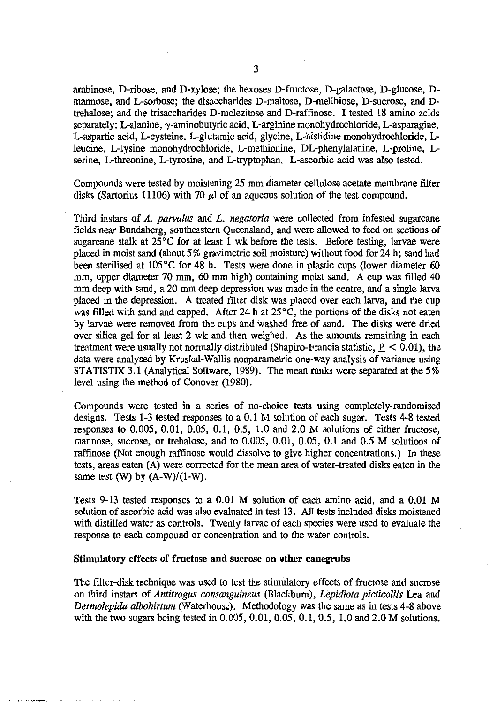arabinose, D-ribose, and D-xylose; the hexoses D-fructose, D-galactose, D-glucose, Dmannose, and L-sorbose; the disaccharides D-maltose, D-melibiose, D-sucrose, and Dtrehalose; and the trisaccharides D-melezitose and D-raffinose. **I** tested 18 amino acids separately: L-alanine,  $\gamma$ -aminobutyric acid, L-arginine monohydrochloride, L-asparagine, L-aspartic acid, L-cysteine, L-glutamic acid, glycine, L-histidine monohydrochloride, Lleucine, L-lysine monohydrochloride, L-methionine, DL-phenylalanine, L-proline, Lserine, L-threonine, L-tyrosine, and L-tryptophan. L-ascorbic acid was also tested.

Compounds were tested by moistening 25 mm diameter cellulose acetate membrane filter disks (Sartorius 11106) with 70  $\mu$ l of an aqueous solution of the test compound.

Third instars of *A. parvulus* and *L. negatoria* were collected from infested sugarcane fields near Bundaberg, southeastern Queensland, and were allowed to feed on sections of sugarcane stalk at 25°C for at least 1 wk before the tests. Before testing, larvae were placed in moist sand (about 5% gravimetric soil moisture) without food for 24 h; sand had been sterilised at 105°C for 48 h. Tests were done in plastic cups (lower diameter 60 mm, upper diameter 70 mm, 60 mm high) containing moist sand. A cup was filled 40 mm deep with sand, a 20 mm deep depression was made in the centre, and a single larva placed in the depression. A treated filter disk was placed over each larva, and the cup was filled with sand and capped. After 24 h at 25°C, the portions of the disks not eaten by larvae were removed from the cups and washed free of sand. The disks were dried over silica gel for at least 2 wk and then weighed. As the amounts remaining in each treatment were usually not normally distributed (Shapiro-Francia statistic,  $P < 0.01$ ), the data were analysed by Kruskal-Wallis nonparametric one-way analysis of variance using STATISTIX 3.1 (Analytical Software, 1989). The mean ranks were separated at the 5% level using the method of Conover (1980).

Compounds were tested in a series of no-choice tests using completely-randomised designs. Tests 1-3 tested responses to a 0.1 M solution of each sugar. Tests 4-8 tested responses to 0.005, 0.01, 0.05, 0.1, 0.5, 1.0 and 2.0 M solutions of either fructose, mannose, sucrose, or trehalose, and to 0.005, 0.01, 0.05, 0.1 and 0.5 M solutions of raffinose (Not enough raffinose would dissolve to give higher concentrations.) In these tests, areas eaten (A) were corrected for the mean area of water-treated disks eaten in the same test (W) by  $(A-W)/(1-W)$ .

Tests 9-13 tested responses to a 0.01 M solution of each amino acid, and a 0.01 M solution of ascorbic acid was also evaluated in test 13. All tests included disks moistened with distilled water as controls. Twenty larvae of each species were used to evaluate the response to each compound or concentration and to the water controls.

#### **Stimulatory effects of fructose and sucrose on other canegrubs**

**The filter-disk technique was used to test the stimulatory** effects of fructose and sucrose on third instars of *Antitrogus consanguineus* **(Blackburn),** *Lepidiota picticollis* Lea and *Dermolepida albohirtum* (Waterhouse). Methodology was the same as in tests 4-8 above with the two sugars being tested in 0.005, 0.01, 0.05, 0.1, 0.5, 1.0 and 2.0 M solutions.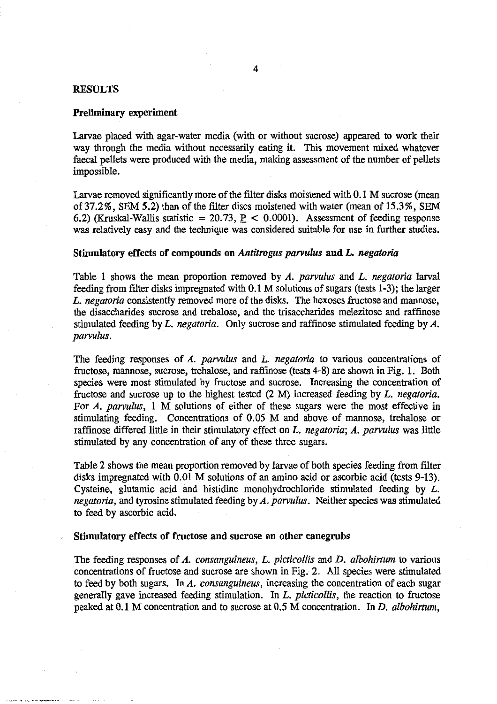### **RESULTS**

### Preliminary experiment

Larvae placed with agar-water media (with or without sucrose) appeared to work their way through the media without necessarily eating it. This movement mixed whatever faecal pellets were produced with the media, making assessment of the number of pellets impossible.

Larvae removed significantly more of the filter disks moistened with 0.1 M sucrose (mean of 37.2%, SEM 5.2) than of the filter discs moistened with water (mean of 15.3%, SEM 6.2) (Kruskal-Wallis statistic = 20.73,  $P < 0.0001$ ). Assessment of feeding response was relatively easy and the technique was considered suitable for use in further studies.

#### **Stimulatory effects of compounds on** *Antitrogus parvulus* **and** *L. negatoria*

Table 1 shows the mean proportion removed by *A. parvulus* and *L. negatoria* larval feeding from filter disks impregnated with 0.1 M solutions of sugars (tests 1-3); the larger *L. negatoria* consistently removed more of the disks. The hexoses fructose and mannose, the disaccharides sucrose and trehalose, and the trisaccharides melezitose and raffmose stimulated feeding by *L. negatoria.* Only sucrose and raffinose stimulated feeding by *A. parvulus.* 

The feeding responses of *A. parvulus* and *L. negatoria* to various concentrations of fructose, mannose, sucrose, trehalose, and raffmose (tests 4-8) are shown in Fig. 1. Both species were most stimulated by fructose and sucrose. Increasing the concentration of fructose and sucrose up to the highest tested (2 M) increased feeding by *L. negatoria.*  For *A. parvulus, 1* M solutions of either of these sugars were the most effective in stimulating feeding. Concentrations of 0.05 M and above of mannose, trehalose or raffinose differed little in their stimulatory effect on *L. negatoria; A. parvulus* was little stimulated by any concentration of any of these three sugars.

Table 2 shows the mean proportion removed by larvae of both species feeding from filter disks impregnated with 0.01 M solutions of an amino acid or ascorbic acid (tests 9-13). Cysteine, glutamic acid and histidine monohydrochloride stimulated feeding by *L. negatoria,* and tyrosine stimulated feeding by *A. parvulus.* Neither species was stimulated to feed by ascorbic acid.

#### **Stimulatory effects of fructose and sucrose on other canegrubs**

The feeding responses of *A. consanguineus, L. picticollis* and *D. albohirtum* to various concentrations of fructose and sucrose are shown in Fig. 2. All species were stimulated to feed by both sugars. In *A. consanguineus,* increasing the concentration of each sugar generally gave increased feeding stimulation. In *L. picticollis,* the reaction to fructose peaked at 0.1 M concentration and to sucrose at 0.5 M concentration. In *D. albohirtum,*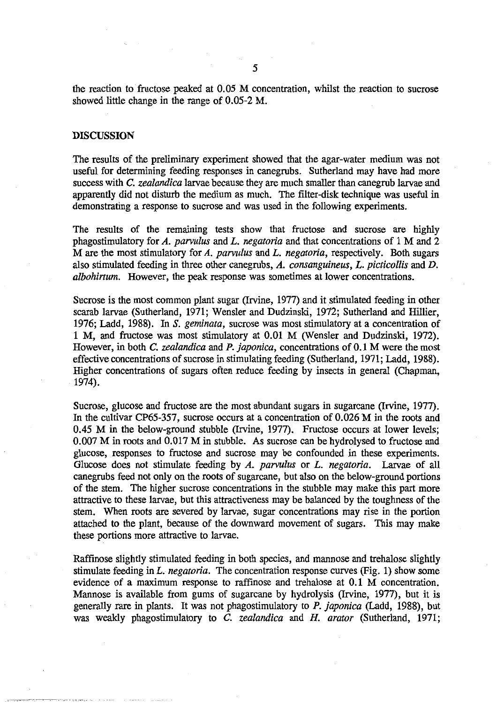the reaction to fructose peaked at 0.05 M concentration, whilst the reaction to sucrose showed little change in the range of 0.05-2 M.

### **DISCUSSION**

The results of the preliminary experiment showed that the agar-water medium was not useful for determining feeding responses in canegrubs. Sutherland may have had more success with C. *zealandica* larvae because they are much smaller than canegrub larvae and apparently did not disturb the medium as much. The filter-disk technique was useful in demonstrating a response to sucrose and was used in the following experiments.

The results of the remaining tests show that fructose and sucrose are highly phagostimulatory for *A. parvulus* and *L. negatoria* and that concentrations of 1 M and 2 M are the most stimulatory for *A. parvulus* and *L. negatoria,* respectively. Both sugars also stimulated feeding in three other canegrubs, *A. consanguineus, L. picticollis* and *D. albohirtum.* However, the peak response was sometimes at lower concentrations.

Sucrose is the most common plant sugar (Irvine, 1977) and it stimulated feeding in other scarab larvae (Sutherland, 1971; Wensler and Dudzinski, 1972; Sutherland and Hillier, 1976; Ladd, 1988). In *S. geminata,* sucrose was most stimulatory at a concentration of 1 M, and fructose was most stimulatory at 0.01 M (Wensler and Dudzinski, 1972). However, in both *C. zealandica* and *P. japonica,* concentrations of 0.1 M were the most effective concentrations of sucrose in stimulating feeding (Sutherland, 1971; Ladd, 1988). Higher concentrations of sugars often reduce feeding by insects in general (Chapman, 1974).

Sucrose, glucose and fructose are the most abundant sugars in sugarcane (Irvine, 1977). In the cultivar CP65-357, sucrose occurs at a concentration of 0.026 M in the roots and 0.45 M in the below-ground stubble (Irvine, 1977). Fructose occurs at lower levels; 0.007 M in roots and 0.017 M in stubble. As sucrose can be hydrolysed to fructose and glucose, responses to fructose and sucrose may be confounded in these experiments. Glucose does not stimulate feeding by *A. parvulus* or *L. negatoria.* Larvae of all canegrubs feed not only on the roots of sugarcane, but also on the below-ground portions of the stem. The higher sucrose concentrations in the stubble may make this part more attractive to these larvae, but this attractiveness may be balanced by the toughness of the stem. When roots are severed by larvae, sugar concentrations may rise in the portion attached to the plant, because of the downward movement of sugars. This may make these portions more attractive to larvae.

Raffinose slightly stimulated feeding in both species, and mannose and trehalose slightly stimulate feeding in *L. negatoria.* The concentration response curves (Fig. 1) show some evidence of a maximum response to raffinose and trehalose at 0.1 M concentration. Mannose is available from gums of sugarcane by hydrolysis (Irvine, 1977), but it is generally rare in plants. It was not phagostimulatory to *P. japonica* (Ladd, 1988), but was weakly phagostimulatory to *C. zealandica* and *H. arator* (Sutherland, 1971;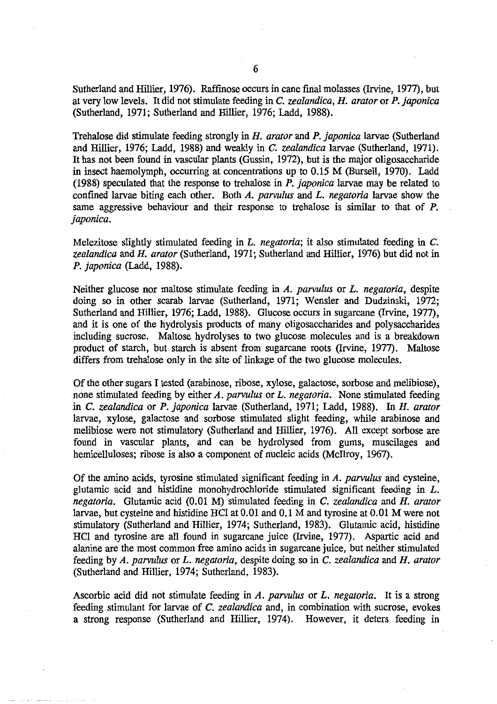Sutherland and Hillier, 1976). Raffinose occurs in cane final molasses (Irvine, 1977), but at very low levels. It did not stimulate feeding in *C. zealandica, H. arator* or *P. japonica*  (Sutherland, 1971; Sutherland and Hillier, 1976; Ladd, 1988).

Trehalose did stimulate feeding strongly *in H. arator* and *P. japonica* larvae (Sutherland and Hillier, 1976; Ladd, 1988) and weakly in *C. zealandica* larvae (Sutherland, 1971). It has not been found in vascular plants (Gussin, 1972), but is the major oligosaccharide in insect haemolymph, occurring at concentrations up to 0.15 M (Bursell, 1970). Ladd (1988) speculated that the response to trehalose in *P. japonica* larvae may be related to confined larvae biting each other. Both *A. parvulus* and *L. negatoria* larvae show the same aggressive behaviour and their response to trehalose is similar to that of *P. japonica.* 

Melezitose slightly stimulated feeding in *L. negatoria;* it also stimulated feeding in *C. zealandica* and *H. arator* (Sutherland, 1971; Sutherland and Hillier, 1976) but did not in *P. japonica* (Ladd, 1988).

Neither glucose nor maltose stimulate feeding in *A. parvulus* or *L. negatoria,* despite doing so in other scarab larvae (Sutherland, 1971; Wensler and Dudzinski, 1972; Sutherland and Hillier, 1976; Ladd, 1988). Glucose occurs in sugarcane (Irvine, 1977), and it is one of the hydrolysis products of many oligosaccharides and polysaccharides including sucrose. Maltose hydrolyses to two glucose molecules and is a breakdown product of starch, but starch is absent from sugarcane roots (Irvine, 1977). Maltose differs from trehalose only in the site of linkage of the two glucose molecules.

Of the other sugars I tested (arabinose, ribose, xylose, galactose, sorbose and melibiose), none stimulated feeding by either *A. parvulus* or *L. negatoria.* None stimulated feeding in *C. zealandica* or *P. japonica* larvae (Sutherland, 1971; Ladd, 1988). *In H. arator*  larvae, xylose, galactose and sorbose stimulated slight feeding, while arabinose and melibiose were not stimulatory (Sutherland and Hillier, 1976). All except sorbose are found in vascular plants, and can be hydrolysed from gums, muscilages and hemicelluloses; ribose is also a component of nucleic acids (McIlroy, 1967).

Of the amino acids, tyrosine stimulated significant feeding in *A. parvulus* and cysteine, glutamic acid and histidine monohydrochloride stimulated significant feeding in *L. negatoria.* Glutamic acid (0.01 M) stimulated feeding in *C. zealandica* and *H. arator*  larvae, but cysteine and histidine HC1 at 0.01 and 0.1 M and tyrosine at 0.01 M were not stimulatory (Sutherland and Hillier, 1974; Sutherland, 1983). Glutamic acid, histidine HC1 and tyrosine are all found in sugarcane juice (Irvine, 1977). Aspartic acid and alanine are the most common free amino acids in sugarcane juice, but neither stimulated feeding by *A. parvulus* or *L. negatoria,* despite doing so in *C. zealandica* and *H. arator*  (Sutherland and Hillier, 1974; Sutherland, 1983).

Ascorbic acid did not stimulate feeding in *A. parvulus* or *L. negatoria.* It is a strong feeding stimulant for larvae of *C. zealandica* and, in combination with sucrose, evokes a strong response (Sutherland and Hillier, 1974). However, it deters feeding in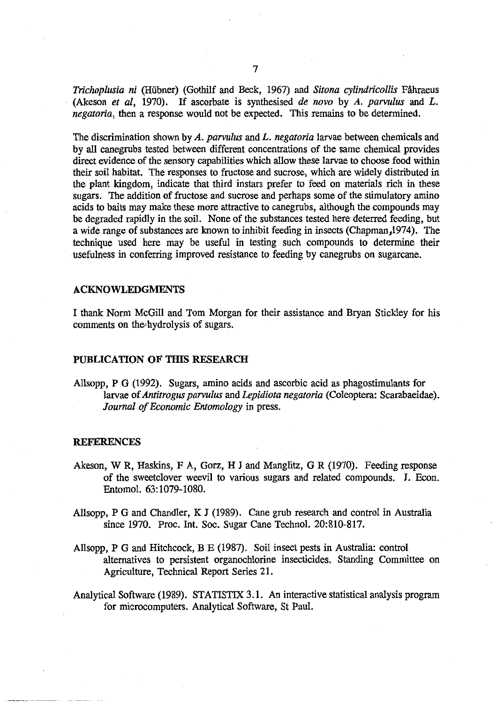*Trichoplusia ni* (Hubner) (Gothilf and Beck, 1967) and *Sitona cylindricollis* Fahraeus (Akeson *et al,* 1970). If ascorbate is synthesised *de novo* by *A. parvulus* and *L. negatoria,* then a response would not be expected. This remains to be determined.

The discrimination shown by *A. parvulus* and *L. negatoria* larvae between chemicals and by all canegrubs tested between different concentrations of the same chemical provides direct evidence of the sensory capabilities which allow these larvae to choose food within their soil habitat. The responses to fructose and sucrose, which are widely distributed in the plant kingdom, indicate that third instars prefer to feed on materials rich in these sugars. The addition of fructose and sucrose and perhaps some of the stimulatory amino acids to baits may make these more attractive to canegrubs, although the compounds may be degraded rapidly in the soil. None of the substances tested here deterred feeding, but a wide range of substances are known to inhibit feeding in insects (Chapman,1974). The technique used here may be useful in testing such compounds to determine their usefulness in conferring improved resistance to feeding by canegrubs on sugarcane.

#### ACKNOWLEDGMENTS

I thank Norm McGill and Tom Morgan for their assistance and Bryan Stickley for his comments on the,hydrolysis of sugars.

## PUBLICATION OF THIS RESEARCH

Allsopp, P G (1992). Sugars, amino acids and ascorbic acid as phagostimulants for larvae of *Antitrogus parvulus* and *Lepidiota negatoria* (Coleoptera: Scarabaeidae). *Journal of Economic Entomology* in press.

#### **REFERENCES**

- Akeson, W R, Haskins, F A, Gorz, H J and Manglitz, G R (1970). Feeding response of the sweetclover weevil to various sugars and related compounds. J. Econ. Entomol. 63:1079-1080.
- Allsopp, P G and Chandler, K J (1989). Cane grub research and control in Australia since 1970. Proc. Int. Soc. Sugar Cane Technol. 20:810-817.
- Allsopp, P G and Hitchcock, B E (1987). Soil insect pests in Australia: control alternatives to persistent organochlorine insecticides. Standing Committee on Agriculture, Technical Report Series 21.
- Analytical Software (1989). STATISTIX 3.1. An interactive statistical analysis program for microcomputers. Analytical Software, St Paul.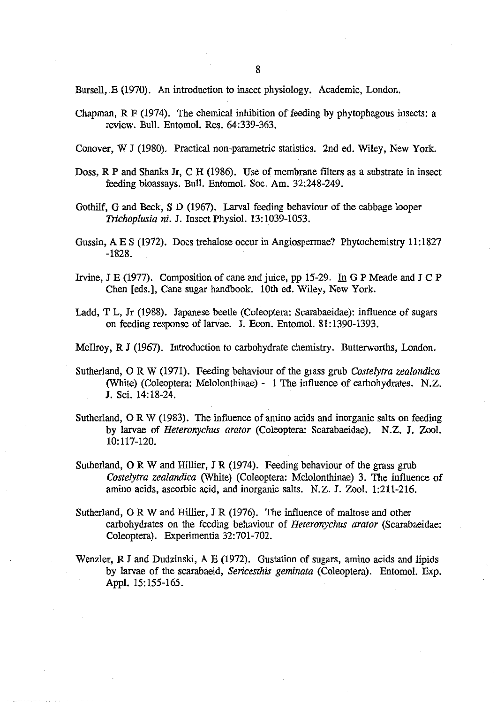Bursell, E (1970). An introduction to insect physiology. Academic, London.

Chapman, R F (1974). The chemical inhibition of feeding by phytophagous insects: a review. Bull. Entomol. Res. 64:339-363.

Conover, W J (1980). Practical non-parametric statistics. 2nd ed. Wiley, New York.

- Doss,  $R$  P and Shanks Jr, C H (1986). Use of membrane filters as a substrate in insect feeding bioassays. Bull. Entomol. Soc. Am. 32:248-249.
- Gothilf, G and Beck, S D (1967). Larval feeding behaviour of the cabbage looper *Trichoplusia ni.* J. Insect Physiol. 13:1039-1053.
- Gussin, A E S (1972). Does trehalose occur in Angiospermae? Phytochemistry 11:1827 -1828.
- Irvine, J E (1977). Composition of cane and juice, pp 15-29. In G P Meade and J C P Chen [eds.], Cane sugar handbook. 10th ed. Wiley, New York.
- Ladd, T L, Jr (1988). Japanese beetle (Coleoptera: Scarabaeidae): influence of sugars on feeding response of larvae. J. Econ. Entomol. 81:1390-1393.
- Mcllroy, R J (1967). Introduction to carbohydrate chemistry. Butterworths, London.
- Sutherland, 0 R W (1971). Feeding behaviour of the grass grub *Costelytra zealandica*  (White) (Coleoptera: Melolonthinae) - 1 The influence of carbohydrates. N.Z. J. Sci. 14:18-24.
- Sutherland, 0 R W (1983). The influence of amino acids and inorganic salts on feeding by larvae of *Heteronychus arator* (Coleoptera: Scarabaeidae). N.Z. J. Zool. 10:117-120.
- Sutherland, 0 R W and Hillier, J R (1974). Feeding behaviour of the grass grub *Costelytra zealandica* (White) (Coleoptera: Melolonthinae) 3. The influence of amino acids, ascorbic acid, and inorganic salts. N.Z. I. Zool. 1:211-216.
- Sutherland, 0 R W and Hillier, J R (1976). The influence of maltose and other carbohydrates on the feeding behaviour of *Heteronychus arator* (Scarabaeidae: Coleoptera). Experimentia 32:701-702.
- Wenzler, R J and Dudzinski, A E (1972). Gustation of sugars, amino acids and lipids by larvae of the scarabaeid, *Sericesthis geminata* (Coleoptera). Entomol. Exp. Appl. 15:155-165.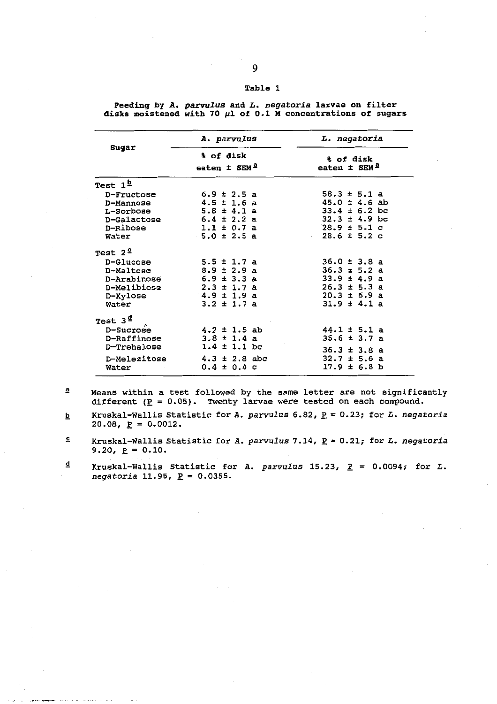| Sugar                    | A. parvulus                               | L. negatoria                              |
|--------------------------|-------------------------------------------|-------------------------------------------|
|                          | % of disk<br>eaten $\pm$ SEM <sup>2</sup> | % of disk<br>eaten $\pm$ SEM <sup>a</sup> |
| Test $1^{\underline{D}}$ |                                           |                                           |
| D-Fructose               | $6.9 \pm 2.5$ a                           | $58.3 \pm 5.1$ a                          |
| D-Mannose                | $4.5 \pm 1.6$ a                           | $45.0 \pm 4.6$ ab                         |
| L-Sorbose                | $5.8 \pm 4.1$ a                           | $33.4 \pm 6.2$ bc                         |
| D-Galactose              | $6.4 \pm 2.2$ a                           | $32.3 \pm 4.9$ bc                         |
| D-Ribose                 | $1.1 \pm 0.7$ a                           | $28.9 \pm 5.1$ c                          |
| Water                    | $5.0 \pm 2.5$ a                           | $28.6 \pm 5.2$ c                          |
| Test $2^{\circ}$         |                                           |                                           |
| D-Glucose                | 5.5 ± 1.7 a                               | $36.0 \pm 3.8$ a                          |
| D-Maltose                | $8.9 \pm 2.9$ a                           | $36.3 \pm 5.2$ a                          |
| D-Arabinose              | $6.9 \pm 3.3$ a                           | $33.9 \pm 4.9$ a                          |
| D-Melibiose              | $2.3 \pm 1.7$ a                           | $26.3 \pm 5.3 a$                          |
| D-Xylose                 | $4.9 \pm 1.9$ a                           | $20.3 \pm 5.9$ a                          |
| Water                    | $3.2 \pm 1.7$ a                           | $31.9 \pm 4.1$ a                          |
| Test $3d$                |                                           |                                           |
| D-Sucrose                | $4.2 \pm 1.5$ ab                          | $44.1 \pm 5.1$ a                          |
| D-Raffinose              | $3.8 \pm 1.4$ a                           | $35.6 \pm 3.7$ a                          |
| D-Trehalose              | $1.4 \pm 1.1$ bc                          | $36.3 \pm 3.8$ a                          |
| D-Melezitose             | $4.3 \pm 2.8$ abc                         | $32.7 \pm 5.6$ a                          |
| Water                    | $0.4 \pm 0.4$ c                           | $17.9 \pm 6.8$ b                          |
|                          |                                           |                                           |

**Feeding by A. parvulus and L. negatoria larvae on filter disks moistened with 70 ml of 0.1 M concentrations of sugars** 

 $a$  Means within a test followed by the same letter are not significantly different ( $\underline{P}$  = 0.05). Twenty larvae were tested on each compound.

b Kruskal-Wallis Statistic for **A. parvulus** 6.82, P = 0.23; for L. **negatoria**  20.08,  $\underline{P} = 0.0012$ .

 $\mathbf{c}$ Kruskal-Wallis Statistic for **A. parvulus 7.14, P = 0.21; for L. negatoria**  9.20,  $\underline{P} = 0.10$ .

 $\overline{\mathbf{q}}$ Kruskal-Wallis Statistic for A. parvulus  $15.23$ ,  $P = 0.0094$ ; for L.  $negatoria$  11.95,  $\underline{P} = 0.0355$ .

#### **Table 1**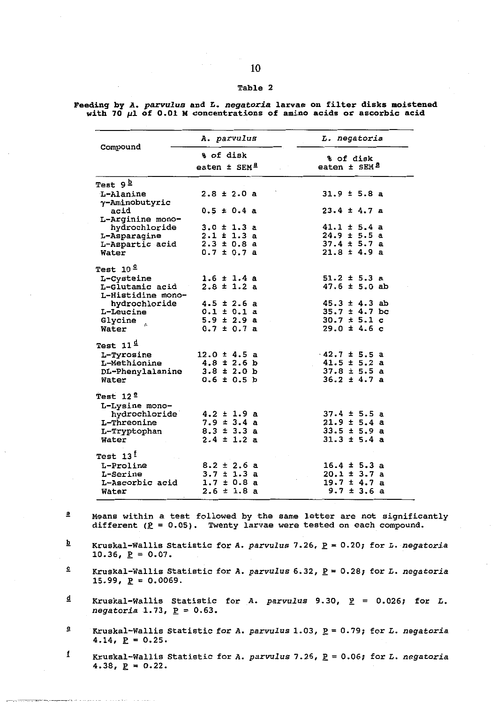#### **Table 2**

| Compound                    | A. parvulus              | L. negatoria                 |
|-----------------------------|--------------------------|------------------------------|
|                             | % of disk                | % of disk                    |
|                             | eaten ± SEM <sup>a</sup> | eaten $\pm$ SEM <sup>2</sup> |
| Test 9 <sup>b</sup>         |                          |                              |
| L-Alanine<br>y-Aminobutyric | $2.8 \pm 2.0 a$          | $31.9 \pm 5.8$ a             |
| acid<br>L-Arginine mono-    | $0.5 \pm 0.4$ a          | $23.4 \pm 4.7$ a             |
| hydrochloride               | $3.0 \pm 1.3$ a          | $41.1 \pm 5.4$ a             |
| L-Asparagine                | $2.1 \pm 1.3$ a          | $24.9 \pm 5.5$ a             |
| L-Aspartic acid             | $2.3 \pm 0.8$ a          | $37.4 \pm 5.7$ a             |
| Water                       | $0.7 \pm 0.7$ a          | $21.8 \pm 4.9$ a             |
| Test $10°$                  |                          |                              |
| L-Cysteine                  | $1.6 \pm 1.4$ a          | $51.2 \pm 5.3$ a             |
| L-Glutamic acid             | $2.8 \pm 1.2$ a          | $47.6 \pm 5.0$ ab            |
| L-Histidine mono-           |                          |                              |
| hydrochloride               | $4.5 \pm 2.6$ a          | $45.3 \pm 4.3$ ab            |
| L-Leucine                   | $0.1 \pm 0.1$ a          | $35.7 \pm 4.7$ bc            |
| Glycine                     | $5.9 \pm 2.9$ a          | $30.7 \pm 5.1$ c             |
| Water                       | $0.7 \pm 0.7$ a          | $29.0 \pm 4.6$ c             |
| Test $11^{\underline{d}}$   |                          |                              |
| L-Tyrosine                  | $12.0 \pm 4.5$ a         | $42.7 \pm 5.5$ a             |
| L-Methionine                | $4.8 \pm 2.6$ b          | $41.5 \pm 5.2$ a             |
| DL-Phenylalanine            | $3.8 \pm 2.0$ b          | $37.8 \pm 5.5$ a             |
| Water                       | $0.6 \pm 0.5$ b          | $36.2 \pm 4.7$ a             |
| Test $12^{\frac{e}{2}}$     |                          |                              |
| L-Lysine mono-              |                          |                              |
| hydrochloride               | $4.2 \pm 1.9$ a          | $37.4 \pm 5.5$ a             |
| L-Threonine                 | $7.9 \pm 3.4$ a          | $21.9 \pm 5.4$ a             |
| L-Tryptophan                | $8.3 \pm 3.3$ a          | $33.5 \pm 5.9$ a             |
| Water                       | $2.4 \pm 1.2$ a          | $31.3 \pm 5.4$ a             |
| Test $13^{\frac{t}{2}}$     |                          |                              |
| L-Proline                   | $8.2 \pm 2.6$ a          | $16.4 \pm 5.3$ a             |
| L-Serine                    | $3.7 \pm 1.3$ a          | $20.1 \pm 3.7$ a             |
| L-Ascorbic acid             | $1.7 \pm 0.8$ a          | $19.7 \pm 4.7$ a             |
| Water                       | $2.6 \pm 1.8$ a          | $9.7 \pm 3.6$ a              |

**Feeding by A. parvulus and L. negatoria larvae on filter disks moistened**  with 70  $\mu$ 1 of 0.01 M concentrations of amino acids or ascorbic acid

- **a Means within a test followed by the same letter are not significantly**  different  $(P = 0.05)$ . Twenty larvae were tested on each compound.
- b **Kruskal-Wallis Statistic for A. parvulus 7.26, P = 0.20; for L. negatoria**  10.36,  $\underline{P} = 0.07$ .
- $\overline{\mathbf{c}}$ **Kruskal-Wallis Statistic for A. parvulus 6.32, P = 0.28; for L. negatoria 15.99,**  $\underline{P} = 0.0069$ **.**
- d **Kruskal-Wallis Statistic for A. parvulus 9.30,**  $\underline{P}$  **= 0.026; for L.**  $negatoria 1.73, P = 0.63.$
- $\mathbf{e}$ **Kruskal-Wallis Statistic for A. parvulus 1.03, P = 0.79; for L. negatoria**   $4.14, p = 0.25.$
- f **Kruskal-Wallis Statistic for A. parvulus 7.26, P = 0.06; for L. negatoria**   $4.38$ ,  $\underline{P} = 0.22$ .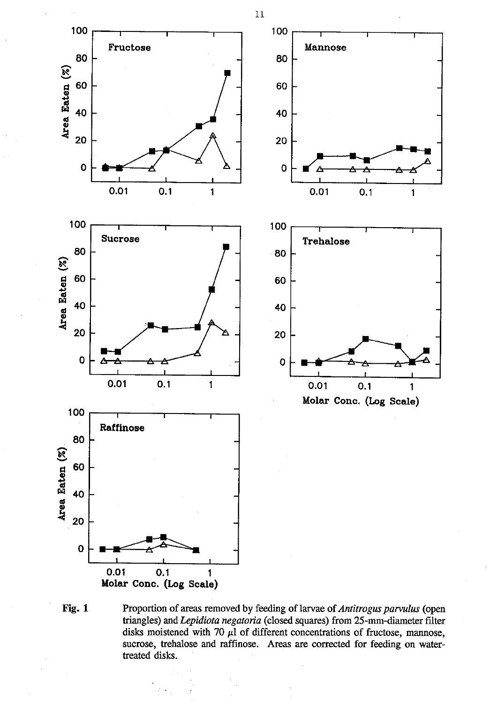

**Fig. 1** Proportion of areas removed by feeding of larvae of *Antitrogus parvulus* (open triangles) and *Lepidiota negatoria* (closed squares) from 25-mm-diameter filter disks moistened with 70  $\mu$ 1 of different concentrations of fructose, mannose, sucrose, trehalose and raffinose. Areas are corrected for feeding on watertreated disks.

11